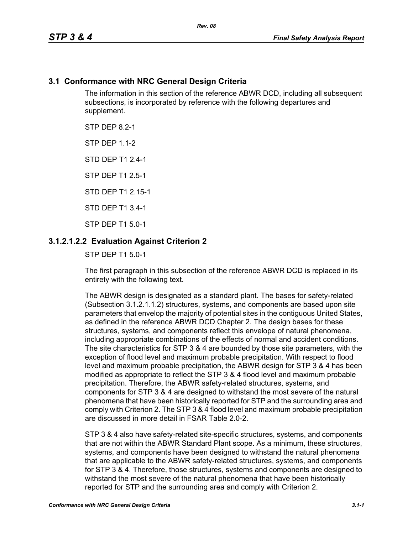## **3.1 Conformance with NRC General Design Criteria**

The information in this section of the reference ABWR DCD, including all subsequent subsections, is incorporated by reference with the following departures and supplement.

STP DFP 82-1

**STP DFP 1 1-2** 

STD DEP T1 2.4-1

STP DEP T1 2.5-1

STD DEP T1 2 15-1

STD DEP T1 3.4-1

STP DEP T1 5.0-1

## **3.1.2.1.2.2 Evaluation Against Criterion 2**

STP DEP T1 5.0-1

The first paragraph in this subsection of the reference ABWR DCD is replaced in its entirety with the following text.

The ABWR design is designated as a standard plant. The bases for safety-related (Subsection 3.1.2.1.1.2) structures, systems, and components are based upon site parameters that envelop the majority of potential sites in the contiguous United States, as defined in the reference ABWR DCD Chapter 2. The design bases for these structures, systems, and components reflect this envelope of natural phenomena, including appropriate combinations of the effects of normal and accident conditions. The site characteristics for STP 3 & 4 are bounded by those site parameters, with the exception of flood level and maximum probable precipitation. With respect to flood level and maximum probable precipitation, the ABWR design for STP 3 & 4 has been modified as appropriate to reflect the STP 3 & 4 flood level and maximum probable precipitation. Therefore, the ABWR safety-related structures, systems, and components for STP 3 & 4 are designed to withstand the most severe of the natural phenomena that have been historically reported for STP and the surrounding area and comply with Criterion 2. The STP 3 & 4 flood level and maximum probable precipitation are discussed in more detail in FSAR Table 2.0-2.

STP 3 & 4 also have safety-related site-specific structures, systems, and components that are not within the ABWR Standard Plant scope. As a minimum, these structures, systems, and components have been designed to withstand the natural phenomena that are applicable to the ABWR safety-related structures, systems, and components for STP 3 & 4. Therefore, those structures, systems and components are designed to withstand the most severe of the natural phenomena that have been historically reported for STP and the surrounding area and comply with Criterion 2.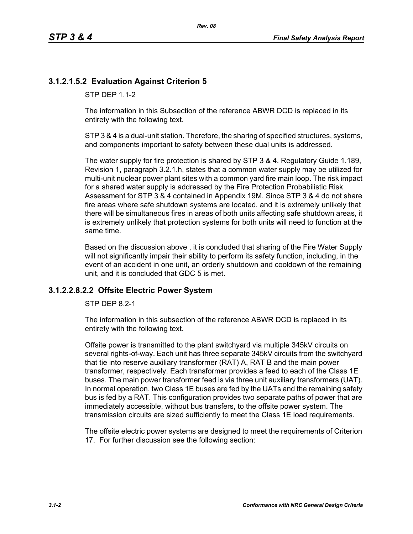# **3.1.2.1.5.2 Evaluation Against Criterion 5**

STP DFP 1 1-2

The information in this Subsection of the reference ABWR DCD is replaced in its entirety with the following text.

STP 3 & 4 is a dual-unit station. Therefore, the sharing of specified structures, systems, and components important to safety between these dual units is addressed.

The water supply for fire protection is shared by STP 3 & 4. Regulatory Guide 1.189, Revision 1, paragraph 3.2.1.h, states that a common water supply may be utilized for multi-unit nuclear power plant sites with a common yard fire main loop. The risk impact for a shared water supply is addressed by the Fire Protection Probabilistic Risk Assessment for STP 3 & 4 contained in Appendix 19M. Since STP 3 & 4 do not share fire areas where safe shutdown systems are located, and it is extremely unlikely that there will be simultaneous fires in areas of both units affecting safe shutdown areas, it is extremely unlikely that protection systems for both units will need to function at the same time.

Based on the discussion above , it is concluded that sharing of the Fire Water Supply will not significantly impair their ability to perform its safety function, including, in the event of an accident in one unit, an orderly shutdown and cooldown of the remaining unit, and it is concluded that GDC 5 is met.

#### **3.1.2.2.8.2.2 Offsite Electric Power System**

STP DEP 8.2-1

The information in this subsection of the reference ABWR DCD is replaced in its entirety with the following text.

Offsite power is transmitted to the plant switchyard via multiple 345kV circuits on several rights-of-way. Each unit has three separate 345kV circuits from the switchyard that tie into reserve auxiliary transformer (RAT) A, RAT B and the main power transformer, respectively. Each transformer provides a feed to each of the Class 1E buses. The main power transformer feed is via three unit auxiliary transformers (UAT). In normal operation, two Class 1E buses are fed by the UATs and the remaining safety bus is fed by a RAT. This configuration provides two separate paths of power that are immediately accessible, without bus transfers, to the offsite power system. The transmission circuits are sized sufficiently to meet the Class 1E load requirements.

The offsite electric power systems are designed to meet the requirements of Criterion 17. For further discussion see the following section: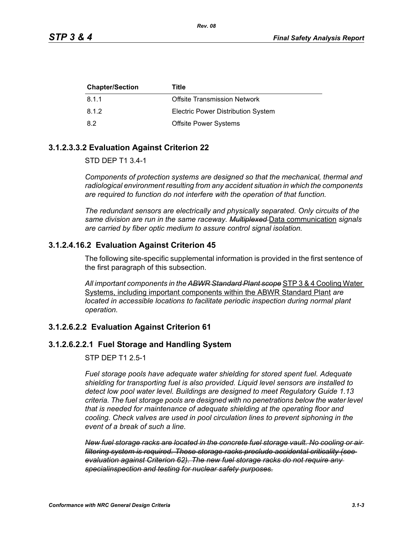| <b>Chapter/Section</b> | Title                                     |
|------------------------|-------------------------------------------|
| 8.1.1                  | Offsite Transmission Network              |
| 8.1.2                  | <b>Electric Power Distribution System</b> |
| 8.2                    | <b>Offsite Power Systems</b>              |

### **3.1.2.3.3.2 Evaluation Against Criterion 22**

STD DEP T1 3.4-1

*Components of protection systems are designed so that the mechanical, thermal and radiological environment resulting from any accident situation in which the components are required to function do not interfere with the operation of that function.* 

*The redundant sensors are electrically and physically separated. Only circuits of the same division are run in the same raceway. Multiplexed* Data communication *signals are carried by fiber optic medium to assure control signal isolation.*

## **3.1.2.4.16.2 Evaluation Against Criterion 45**

The following site-specific supplemental information is provided in the first sentence of the first paragraph of this subsection.

*All important components in the ABWR Standard Plant scope* STP 3 & 4 Cooling Water Systems, including important components within the ABWR Standard Plant *are located in accessible locations to facilitate periodic inspection during normal plant operation.*

### **3.1.2.6.2.2 Evaluation Against Criterion 61**

## **3.1.2.6.2.2.1 Fuel Storage and Handling System**

STP DEP T1 2.5-1

*Fuel storage pools have adequate water shielding for stored spent fuel. Adequate shielding for transporting fuel is also provided. Liquid level sensors are installed to detect low pool water level. Buildings are designed to meet Regulatory Guide 1.13 criteria. The fuel storage pools are designed with no penetrations below the water level that is needed for maintenance of adequate shielding at the operating floor and cooling. Check valves are used in pool circulation lines to prevent siphoning in the event of a break of such a line.*

*New fuel storage racks are located in the concrete fuel storage vault. No cooling or air filtering system is required. These storage racks preclude accidental criticality (see evaluation against Criterion 62). The new fuel storage racks do not require any specialinspection and testing for nuclear safety purposes.*